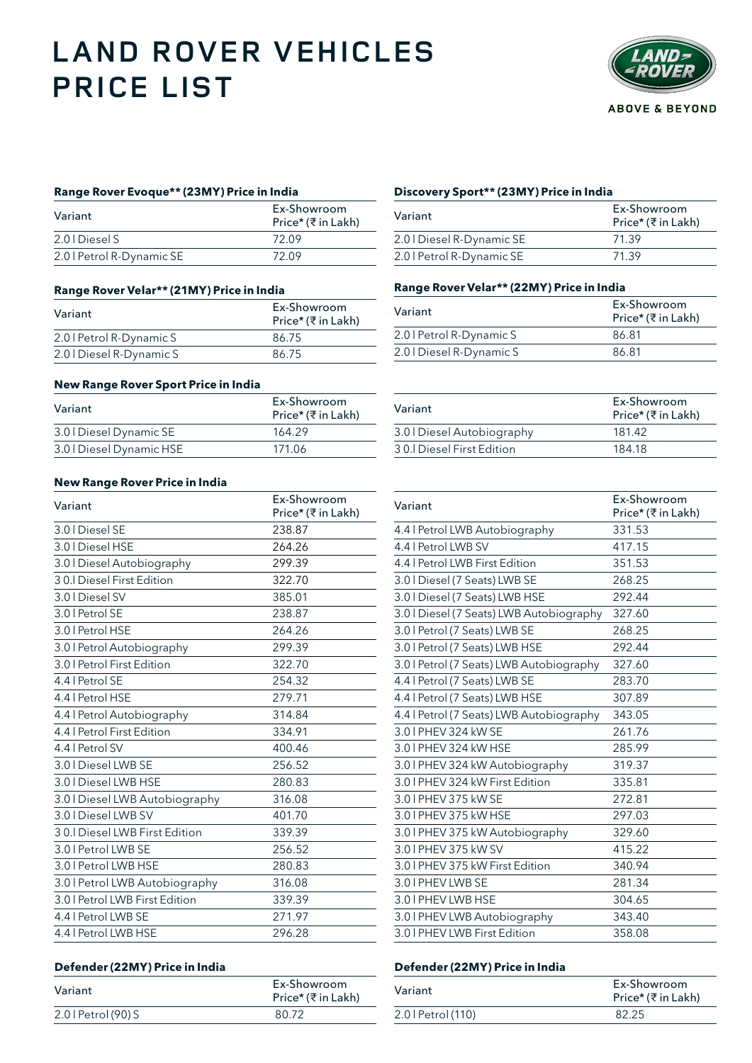# **LAND ROVER VEHICLES PRICE LIST**



## **Range Rover Evoque\*\* (23MY) Price in India Discovery Sport\*\* (23MY) Price in India**

| Variant                   | Ex-Showroom<br>Price* (₹ in Lakh) | Variant                   | Ex-Sh<br>Price |
|---------------------------|-----------------------------------|---------------------------|----------------|
| 2.0   Diesel S            | 72.09                             | 2.0   Diesel R-Dynamic SE | 71.39          |
| 2.0   Petrol R-Dynamic SE | 72.09                             | 2.0   Petrol R-Dynamic SE | 71.39          |

### **Range Rover Velar\*\* (21MY) Price in India**

| Variant                  | Ex-Showroom<br>Price* (₹ in Lakh) |
|--------------------------|-----------------------------------|
| 2.0   Petrol R-Dynamic S | 86.75                             |
| 2.0   Diesel R-Dynamic S | 86.75                             |

### **New Range Rover Sport Price in India**

| Variant                  | Ex-Showroom<br>Price* (₹in Lakh) | Variant                    | Ex-Sho<br>Price* |
|--------------------------|----------------------------------|----------------------------|------------------|
| 3.0   Diesel Dynamic SE  | 164.29                           | 3.0   Diesel Autobiography | 181.42           |
| 3.0   Diesel Dynamic HSE | 171.06                           | 30. Diesel First Edition   | 184.18           |

### **New Range Rover Price in India**

| Variant                        | Ex-Showroom<br>Price* (₹ in Lakh) | Variant                                  | Ex-Shc<br>Price* |
|--------------------------------|-----------------------------------|------------------------------------------|------------------|
| 3.0   Diesel SE                | 238.87                            | 4.4   Petrol LWB Autobiography           | 331.53           |
| 3.0   Diesel HSE               | 264.26                            | 4.4   Petrol LWB SV                      | 417.15           |
| 3.0   Diesel Autobiography     | 299.39                            | 4.4   Petrol LWB First Edition           | 351.53           |
| 30.I Diesel First Edition      | 322.70                            | 3.0   Diesel (7 Seats) LWB SE            | 268.25           |
| 3.0   Diesel SV                | 385.01                            | 3.0   Diesel (7 Seats) LWB HSE           | 292.44           |
| 3.0   Petrol SE                | 238.87                            | 3.0   Diesel (7 Seats) LWB Autobiography | 327.60           |
| 3.0   Petrol HSE               | 264.26                            | 3.0   Petrol (7 Seats) LWB SE            | 268.25           |
| 3.0   Petrol Autobiography     | 299.39                            | 3.0   Petrol (7 Seats) LWB HSE           | 292.44           |
| 3.0   Petrol First Edition     | 322.70                            | 3.0   Petrol (7 Seats) LWB Autobiography | 327.60           |
| 4.4   Petrol SE                | 254.32                            | 4.4   Petrol (7 Seats) LWB SE            | 283.70           |
| 4.4   Petrol HSE               | 279.71                            | 4.4   Petrol (7 Seats) LWB HSE           | 307.89           |
| 4.4   Petrol Autobiography     | 314.84                            | 4.4   Petrol (7 Seats) LWB Autobiography | 343.05           |
| 4.4   Petrol First Edition     | 334.91                            | 3.0 I PHEV 324 kW SE                     | 261.76           |
| 4.4   Petrol SV                | 400.46                            | 3.0 I PHEV 324 kW HSE                    | 285.99           |
| 3.0   Diesel LWB SE            | 256.52                            | 3.0 I PHEV 324 kW Autobiography          | 319.37           |
| 3.0   Diesel LWB HSE           | 280.83                            | 3.0   PHEV 324 kW First Edition          | 335.81           |
| 3.0   Diesel LWB Autobiography | 316.08                            | 3.0   PHEV 375 kW SE                     | 272.81           |
| 3.0   Diesel LWB SV            | 401.70                            | 3.0 I PHEV 375 kW HSE                    | 297.03           |
| 30. Diesel LWB First Edition   | 339.39                            | 3.0   PHEV 375 kW Autobiography          | 329.60           |
| 3.0   Petrol LWB SE            | 256.52                            | 3.0 I PHEV 375 kW SV                     | 415.22           |
| 3.0   Petrol LWB HSE           | 280.83                            | 3.0   PHEV 375 kW First Edition          | 340.94           |
| 3.0   Petrol LWB Autobiography | 316.08                            | 3.0 I PHEV LWB SE                        | 281.34           |
| 3.0   Petrol LWB First Edition | 339.39                            | 3.0   PHEV LWB HSE                       | 304.65           |
| 4.4   Petrol LWB SE            | 271.97                            | 3.0 I PHEV LWB Autobiography             | 343.40           |
| 4.4   Petrol LWB HSE           | 296.28                            | 3.0   PHEV LWB First Edition             | 358.08           |
|                                |                                   |                                          |                  |

# **Defender (22MY) Price in India Defender (22MY) Price in India**

| Ex-Showroom<br>Price* (₹ in Lakh) | Variant            | Ex-Sho<br>Price* |
|-----------------------------------|--------------------|------------------|
| 80.72                             | 2.0   Petrol (110) | 82.25            |
|                                   |                    |                  |

| Ex-Showroom<br>Price* (₹ in Lakh) | Variant                   | Ex-Showroom<br>Price* (₹in Lakh) |
|-----------------------------------|---------------------------|----------------------------------|
| 72.09                             | 2.0   Diesel R-Dynamic SE | 71.39                            |
| 72.09                             | 2.0   Petrol R-Dynamic SE | 71.39                            |

## **Range Rover Velar\*\* (22MY) Price in India**

| Variant                  | Ex-Showroom<br>Price* (₹ in Lakh) |  |
|--------------------------|-----------------------------------|--|
| 2.0   Petrol R-Dynamic S | 86.81                             |  |
| 2.0   Diesel R-Dynamic S | 86.81                             |  |

| Variant                    | Price* (₹in Lakh) |
|----------------------------|-------------------|
| 3.0   Diesel Autobiography | 181.42            |
| 30. Diesel First Edition   | 184.18            |
|                            |                   |

| Ex-Showroom<br>Price* (₹ in Lakh) | Variant                                  | Ex-Showroom<br>Price* (₹in Lakh) |
|-----------------------------------|------------------------------------------|----------------------------------|
| 238.87                            | 4.4   Petrol LWB Autobiography           | 331.53                           |
| 264.26                            | 4.4   Petrol LWB SV                      | 417.15                           |
| 299.39                            | 4.4   Petrol LWB First Edition           | 351.53                           |
| 322.70                            | 3.0   Diesel (7 Seats) LWB SE            | 268.25                           |
| 385.01                            | 3.0   Diesel (7 Seats) LWB HSE           | 292.44                           |
| 238.87                            | 3.0   Diesel (7 Seats) LWB Autobiography | 327.60                           |
| 264.26                            | 3.0   Petrol (7 Seats) LWB SE            | 268.25                           |
| 299.39                            | 3.0   Petrol (7 Seats) LWB HSE           | 292.44                           |
| 322.70                            | 3.0   Petrol (7 Seats) LWB Autobiography | 327.60                           |
| 254.32                            | 4.4   Petrol (7 Seats) LWB SE            | 283.70                           |
| 279.71                            | 4.4   Petrol (7 Seats) LWB HSE           | 307.89                           |
| 314.84                            | 4.4   Petrol (7 Seats) LWB Autobiography | 343.05                           |
| 334.91                            | 3.0 I PHEV 324 kW SE                     | 261.76                           |
| 400.46                            | 3.0 I PHEV 324 kW HSE                    | 285.99                           |
| 256.52                            | 3.0 I PHEV 324 kW Autobiography          | 319.37                           |
| 280.83                            | 3.0   PHEV 324 kW First Edition          | 335.81                           |
| 316.08                            | 3.0 I PHEV 375 kW SE                     | 272.81                           |
| 401.70                            | 3.0   PHEV 375 kW HSE                    | 297.03                           |
| 339.39                            | 3.0   PHEV 375 kW Autobiography          | 329.60                           |
| 256.52                            | 3.0   PHEV 375 kW SV                     | 415.22                           |
| 280.83                            | 3.0   PHEV 375 kW First Edition          | 340.94                           |
| 316.08                            | 3.0   PHEV LWB SE                        | 281.34                           |
| 339.39                            | 3.0   PHEV LWB HSE                       | 304.65                           |
| 271.97                            | 3.0   PHEV LWB Autobiography             | 343.40                           |
| 296.28                            | 3.0   PHEV LWB First Edition             | 358.08                           |

| Ex-Showroom<br>Price* (₹in Lakh) |
|----------------------------------|
| 82.25                            |
|                                  |